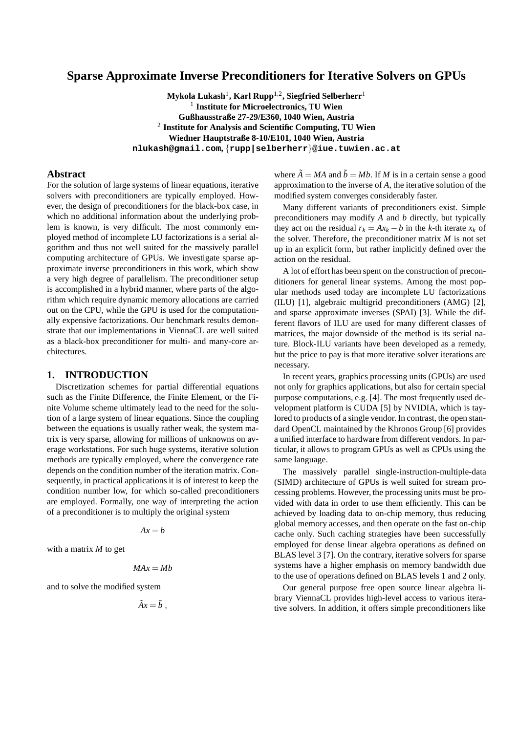# **Sparse Approximate Inverse Preconditioners for Iterative Solvers on GPUs**

 $\mathbf{Mykola}\ \mathbf{Lukash}^{1},\ \mathbf{Karl}\ \mathbf{Rupp}^{1,2},\ \mathbf{Siegfried}\ \mathbf{Selberherr}^{1}$ 1 **Institute for Microelectronics, TU Wien Gußhausstraße 27-29/E360, 1040 Wien, Austria** 2 **Institute for Analysis and Scientific Computing, TU Wien Wiedner Hauptstraße 8-10/E101, 1040 Wien, Austria nlukash@gmail.com,** {**rupp|selberherr**}**@iue.tuwien.ac.at**

### **Abstract**

For the solution of large systems of linear equations, iterative solvers with preconditioners are typically employed. However, the design of preconditioners for the black-box case, in which no additional information about the underlying problem is known, is very difficult. The most commonly employed method of incomplete LU factorizations is a serial algorithm and thus not well suited for the massively parallel computing architecture of GPUs. We investigate sparse approximate inverse preconditioners in this work, which show a very high degree of parallelism. The preconditioner setup is accomplished in a hybrid manner, where parts of the algorithm which require dynamic memory allocations are carried out on the CPU, while the GPU is used for the computationally expensive factorizations. Our benchmark results demonstrate that our implementations in ViennaCL are well suited as a black-box preconditioner for multi- and many-core architectures.

## **1. INTRODUCTION**

Discretization schemes for partial differential equations such as the Finite Difference, the Finite Element, or the Finite Volume scheme ultimately lead to the need for the solution of a large system of linear equations. Since the coupling between the equations is usually rather weak, the system matrix is very sparse, allowing for millions of unknowns on average workstations. For such huge systems, iterative solution methods are typically employed, where the convergence rate depends on the condition number of the iteration matrix. Consequently, in practical applications it is of interest to keep the condition number low, for which so-called preconditioners are employed. Formally, one way of interpreting the action of a preconditioner is to multiply the original system

$$
Ax = b
$$

with a matrix *M* to get

$$
MAX = Mb
$$

and to solve the modified system

$$
\tilde{A}x=\tilde{b} ,
$$

where  $\tilde{A} = MA$  and  $\tilde{b} = Mb$ . If M is in a certain sense a good approximation to the inverse of *A*, the iterative solution of the modified system converges considerably faster.

Many different variants of preconditioners exist. Simple preconditioners may modify *A* and *b* directly, but typically they act on the residual  $r_k = Ax_k - b$  in the *k*-th iterate  $x_k$  of the solver. Therefore, the preconditioner matrix  $M$  is not set up in an explicit form, but rather implicitly defined over the action on the residual.

A lot of effort has been spent on the construction of preconditioners for general linear systems. Among the most popular methods used today are incomplete LU factorizations (ILU) [1], algebraic multigrid preconditioners (AMG) [2], and sparse approximate inverses (SPAI) [3]. While the different flavors of ILU are used for many different classes of matrices, the major downside of the method is its serial nature. Block-ILU variants have been developed as a remedy, but the price to pay is that more iterative solver iterations are necessary.

In recent years, graphics processing units (GPUs) are used not only for graphics applications, but also for certain special purpose computations, e.g. [4]. The most frequently used development platform is CUDA [5] by NVIDIA, which is taylored to products of a single vendor. In contrast, the open standard OpenCL maintained by the Khronos Group [6] provides a unified interface to hardware from different vendors. In particular, it allows to program GPUs as well as CPUs using the same language.

The massively parallel single-instruction-multiple-data (SIMD) architecture of GPUs is well suited for stream processing problems. However, the processing units must be provided with data in order to use them efficiently. This can be achieved by loading data to on-chip memory, thus reducing global memory accesses, and then operate on the fast on-chip cache only. Such caching strategies have been successfully employed for dense linear algebra operations as defined on BLAS level 3 [7]. On the contrary, iterative solvers for sparse systems have a higher emphasis on memory bandwidth due to the use of operations defined on BLAS levels 1 and 2 only.

Our general purpose free open source linear algebra library ViennaCL provides high-level access to various iterative solvers. In addition, it offers simple preconditioners like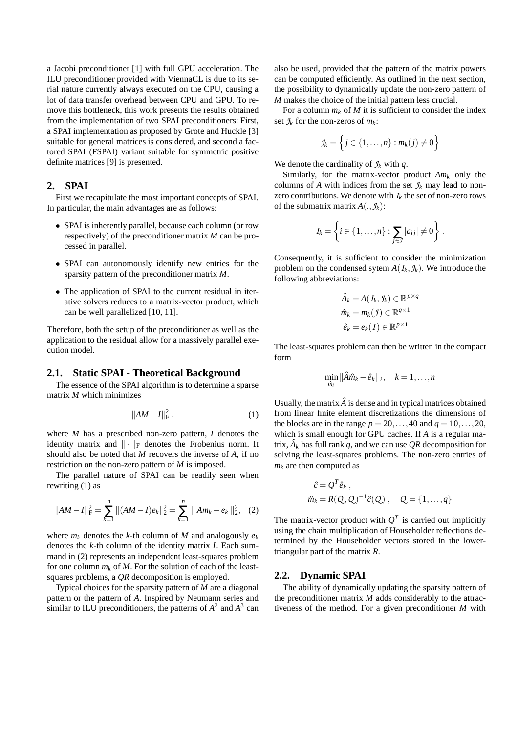a Jacobi preconditioner [1] with full GPU acceleration. The ILU preconditioner provided with ViennaCL is due to its serial nature currently always executed on the CPU, causing a lot of data transfer overhead between CPU and GPU. To remove this bottleneck, this work presents the results obtained from the implementation of two SPAI preconditioners: First, a SPAI implementation as proposed by Grote and Huckle [3] suitable for general matrices is considered, and second a factored SPAI (FSPAI) variant suitable for symmetric positive definite matrices [9] is presented.

## **2. SPAI**

First we recapitulate the most important concepts of SPAI. In particular, the main advantages are as follows:

- SPAI is inherently parallel, because each column (or row respectively) of the preconditioner matrix *M* can be processed in parallel.
- SPAI can autonomously identify new entries for the sparsity pattern of the preconditioner matrix *M*.
- The application of SPAI to the current residual in iterative solvers reduces to a matrix-vector product, which can be well parallelized [10, 11].

Therefore, both the setup of the preconditioner as well as the application to the residual allow for a massively parallel execution model.

#### **2.1. Static SPAI - Theoretical Background**

The essence of the SPAI algorithm is to determine a sparse matrix *M* which minimizes

$$
||AM - I||_F^2, \t(1)
$$

where *M* has a prescribed non-zero pattern, *I* denotes the identity matrix and  $\|\cdot\|_F$  denotes the Frobenius norm. It should also be noted that *M* recovers the inverse of *A*, if no restriction on the non-zero pattern of *M* is imposed.

The parallel nature of SPAI can be readily seen when rewriting (1) as

$$
||AM - I||F2 = \sum_{k=1}^{n} ||(AM - I)ek||22 = \sum_{k=1}^{n} ||Am_k - e_k||22,
$$
 (2)

where  $m_k$  denotes the *k*-th column of *M* and analogously  $e_k$ denotes the *k*-th column of the identity matrix *I*. Each summand in (2) represents an independent least-squares problem for one column  $m_k$  of  $M$ . For the solution of each of the leastsquares problems, a *QR* decomposition is employed.

Typical choices for the sparsity pattern of *M* are a diagonal pattern or the pattern of *A*. Inspired by Neumann series and similar to ILU preconditioners, the patterns of  $A^2$  and  $A^3$  can

also be used, provided that the pattern of the matrix powers can be computed efficiently. As outlined in the next section, the possibility to dynamically update the non-zero pattern of *M* makes the choice of the initial pattern less crucial.

For a column  $m_k$  of  $M$  it is sufficient to consider the index set  $\mathcal{I}_k$  for the non-zeros of  $m_k$ :

$$
\mathcal{J}_k = \left\{ j \in \{1,\ldots,n\} : m_k(j) \neq 0 \right\}
$$

We denote the cardinality of  $\mathcal{I}_k$  with  $q$ .

Similarly, for the matrix-vector product *Am<sup>k</sup>* only the columns of *A* with indices from the set  $\mathcal{I}_k$  may lead to nonzero contributions. We denote with  $I_k$  the set of non-zero rows of the submatrix matrix  $A(., \mathcal{J}_k)$ :

$$
I_k = \left\{ i \in \{1, ..., n\} : \sum_{j \in \mathcal{I}} |a_{ij}| \neq 0 \right\}.
$$

Consequently, it is sufficient to consider the minimization problem on the condensed sytem  $A(I_k, \mathcal{J}_k)$ . We introduce the following abbreviations:

$$
\hat{A}_k = A(I_k, \mathcal{I}_k) \in \mathbb{R}^{p \times q}
$$

$$
\hat{m}_k = m_k(\mathcal{I}) \in \mathbb{R}^{q \times 1}
$$

$$
\hat{e}_k = e_k(I) \in \mathbb{R}^{p \times 1}
$$

The least-squares problem can then be written in the compact form

$$
\min_{\hat{m}_k} \|\hat{A}\hat{m}_k - \hat{e}_k\|_2, \quad k = 1,\ldots,n
$$

Usually, the matrix  $\hat{A}$  is dense and in typical matrices obtained from linear finite element discretizations the dimensions of the blocks are in the range  $p = 20, \ldots, 40$  and  $q = 10, \ldots, 20$ , which is small enough for GPU caches. If *A* is a regular matrix,  $\hat{A}_k$  has full rank  $q$ , and we can use  $QR$  decomposition for solving the least-squares problems. The non-zero entries of  $m_k$  are then computed as

$$
\hat{c} = Q^T \hat{e}_k ,
$$
  

$$
\hat{m}_k = R(Q, Q)^{-1} \hat{c}(Q) , Q = \{1, ..., q\}
$$

The matrix-vector product with  $Q<sup>T</sup>$  is carried out implicitly using the chain multiplication of Householder reflections determined by the Householder vectors stored in the lowertriangular part of the matrix *R*.

#### **2.2. Dynamic SPAI**

The ability of dynamically updating the sparsity pattern of the preconditioner matrix *M* adds considerably to the attractiveness of the method. For a given preconditioner *M* with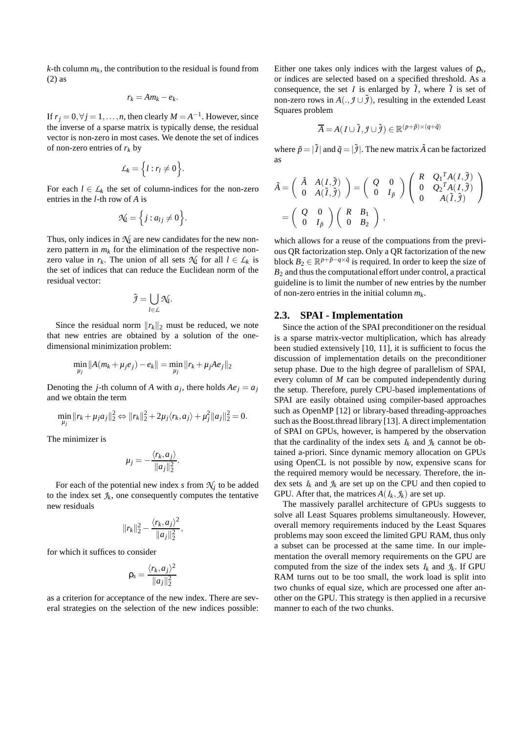$k$ -th column  $m_k$ , the contribution to the residual is found from (2) as

$$
r_k = Am_k - e_k.
$$

If  $r_j = 0, \forall j = 1, \dots, n$ , then clearly  $M = A^{-1}$ . However, since the inverse of a sparse matrix is typically dense, the residual vector is non-zero in most cases. We denote the set of indices of non-zero entries of *r<sup>k</sup>* by

$$
\mathcal{L}_k = \Big\{ l : r_l \neq 0 \Big\}.
$$

For each  $l \in L_k$  the set of column-indices for the non-zero entries in the *l*-th row of *A* is

$$
\mathcal{N}_l = \Big\{ j : a_{lj} \neq 0 \Big\}.
$$

Thus, only indices in  $\mathcal{N}_l$  are new candidates for the new nonzero pattern in  $m_k$  for the elimination of the respective nonzero value in  $r_k$ . The union of all sets  $\mathcal{N}_l$  for all  $l \in \mathcal{L}_k$  is the set of indices that can reduce the Euclidean norm of the residual vector:

$$
\tilde{\mathcal{I}} = \bigcup_{l \in \mathcal{L}} \mathcal{N}_l.
$$

Since the residual norm  $||r_k||_2$  must be reduced, we note that new entries are obtained by a solution of the onedimensional minimization problem:

$$
\min_{\mu_j} ||A(m_k + \mu_j e_j) - e_k|| = \min_{\mu_j} ||r_k + \mu_j A e_j||_2
$$

Denoting the *j*-th column of *A* with  $a_j$ , there holds  $Ae_j = a_j$ and we obtain the term

$$
\min_{\mu_j} \|r_k + \mu_j a_j\|_2^2 \Leftrightarrow \|r_k\|_2^2 + 2\mu_j \langle r_k, a_j \rangle + \mu_j^2 \|a_j\|_2^2 = 0.
$$

The minimizer is

$$
\mu_j=-\frac{\langle r_k,a_j\rangle}{\|a_j\|_2^2}.
$$

For each of the potential new index  $s$  from  $\mathcal{N}_j$  to be added to the index set  $\mathcal{I}_k$ , one consequently computes the tentative new residuals

$$
||r_k||_2^2 - \frac{\langle r_k, a_j \rangle^2}{||a_j||_2^2},
$$

for which it suffices to consider

$$
\rho_s = \frac{\langle r_k, a_j \rangle^2}{\|a_j\|_2^2}
$$

as a criterion for acceptance of the new index. There are several strategies on the selection of the new indices possible:

Either one takes only indices with the largest values of  $\rho_s$ , or indices are selected based on a specified threshold. As a consequence, the set *I* is enlarged by  $\tilde{I}$ , where  $\tilde{I}$  is set of non-zero rows in  $A(., \mathcal{J} \cup \tilde{\mathcal{J}})$ , resulting in the extended Least Squares problem

$$
\overline{A} = A(I \cup \tilde{I}, \mathcal{J} \cup \tilde{\mathcal{I}}) \in \mathbb{R}^{(p+\tilde{p}) \times (q+\tilde{q})}
$$

where  $\tilde{p} = |\tilde{I}|$  and  $\tilde{q} = |\tilde{q}|$ . The new matrix  $\tilde{A}$  can be factorized as

$$
\tilde{A} = \begin{pmatrix} \hat{A} & A(I, \tilde{J}) \\ 0 & A(\tilde{I}, \tilde{J}) \end{pmatrix} = \begin{pmatrix} Q & 0 \\ 0 & I_{\tilde{p}} \end{pmatrix} \begin{pmatrix} R & Q_1^T A(I, \tilde{J}) \\ 0 & Q_2^T A(I, \tilde{J}) \\ 0 & A(\tilde{I}, \tilde{J}) \end{pmatrix}
$$

$$
= \begin{pmatrix} Q & 0 \\ 0 & I_{\tilde{p}} \end{pmatrix} \begin{pmatrix} R & B_1 \\ 0 & B_2 \end{pmatrix} ,
$$

which allows for a reuse of the compuations from the previous QR factorization step. Only a QR factorization of the new block  $B_2 \in \mathbb{R}^{p+\tilde{p}-q \times \tilde{q}}$  is required. In order to keep the size of  $B_2$  and thus the computational effort under control, a practical guideline is to limit the number of new entries by the number of non-zero entries in the initial column *mk*.

#### **2.3. SPAI - Implementation**

Since the action of the SPAI preconditioner on the residual is a sparse matrix-vector multiplication, which has already been studied extensively [10, 11], it is sufficient to focus the discussion of implementation details on the preconditioner setup phase. Due to the high degree of parallelism of SPAI, every column of *M* can be computed independently during the setup. Therefore, purely CPU-based implementations of SPAI are easily obtained using compiler-based approaches such as OpenMP [12] or library-based threading-approaches such as the Boost.thread library [13]. A direct implementation of SPAI on GPUs, however, is hampered by the observation that the cardinality of the index sets  $I_k$  and  $\mathcal{I}_k$  cannot be obtained a-priori. Since dynamic memory allocation on GPUs using OpenCL is not possible by now, expensive scans for the required memory would be necessary. Therefore, the index sets  $I_k$  and  $\mathcal{I}_k$  are set up on the CPU and then copied to GPU. After that, the matrices  $A(I_k, \mathcal{I}_k)$  are set up.

The massively parallel architecture of GPUs suggests to solve all Least Squares problems simultaneously. However, overall memory requirements induced by the Least Squares problems may soon exceed the limited GPU RAM, thus only a subset can be processed at the same time. In our implementation the overall memory requirements on the GPU are computed from the size of the index sets  $I_k$  and  $\mathcal{I}_k$ . If GPU RAM turns out to be too small, the work load is split into two chunks of equal size, which are processed one after another on the GPU. This strategy is then applied in a recursive manner to each of the two chunks.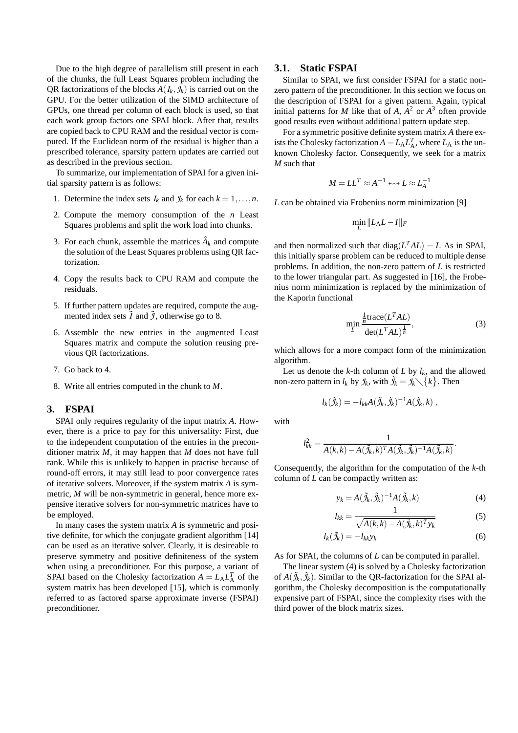Due to the high degree of parallelism still present in each of the chunks, the full Least Squares problem including the QR factorizations of the blocks  $A(I_k, \mathcal{I}_k)$  is carried out on the GPU. For the better utilization of the SIMD architecture of GPUs, one thread per column of each block is used, so that each work group factors one SPAI block. After that, results are copied back to CPU RAM and the residual vector is computed. If the Euclidean norm of the residual is higher than a prescribed tolerance, sparsity pattern updates are carried out as described in the previous section.

To summarize, our implementation of SPAI for a given initial sparsity pattern is as follows:

- 1. Determine the index sets  $I_k$  and  $\mathcal{I}_k$  for each  $k = 1, \ldots, n$ .
- 2. Compute the memory consumption of the *n* Least Squares problems and split the work load into chunks.
- 3. For each chunk, assemble the matrices  $\hat{A}_k$  and compute the solution of the Least Squares problems using QR factorization.
- 4. Copy the results back to CPU RAM and compute the residuals.
- 5. If further pattern updates are required, compute the augmented index sets  $\tilde{I}$  and  $\tilde{J}$ , otherwise go to 8.
- 6. Assemble the new entries in the augmented Least Squares matrix and compute the solution reusing previous QR factorizations.
- 7. Go back to 4.
- 8. Write all entries computed in the chunk to *M*.

### **3. FSPAI**

SPAI only requires regularity of the input matrix *A*. However, there is a price to pay for this universality: First, due to the independent computation of the entries in the preconditioner matrix *M*, it may happen that *M* does not have full rank. While this is unlikely to happen in practise because of round-off errors, it may still lead to poor convergence rates of iterative solvers. Moreover, if the system matrix *A* is symmetric, *M* will be non-symmetric in general, hence more expensive iterative solvers for non-symmetric matrices have to be employed.

In many cases the system matrix *A* is symmetric and positive definite, for which the conjugate gradient algorithm [14] can be used as an iterative solver. Clearly, it is desireable to preserve symmetry and positive definiteness of the system when using a preconditioner. For this purpose, a variant of SPAI based on the Cholesky factorization  $A = L_A L_A^T$  of the system matrix has been developed [15], which is commonly referred to as factored sparse approximate inverse (FSPAI) preconditioner.

#### **3.1. Static FSPAI**

Similar to SPAI, we first consider FSPAI for a static nonzero pattern of the preconditioner. In this section we focus on the description of FSPAI for a given pattern. Again, typical initial patterns for *M* like that of *A*,  $A^2$  or  $A^3$  often provide good results even without additional pattern update step.

For a symmetric positive definite system matrix *A* there exists the Cholesky factorization  $A = L_A L_A^T$ , where  $L_A$  is the unknown Cholesky factor. Consequently, we seek for a matrix *M* such that

$$
M = LL^T \approx A^{-1} \leftrightsquigarrow L \approx L_A^{-1}
$$

*L* can be obtained via Frobenius norm minimization [9]

$$
\min_{L} \|L_A L - I\|_F
$$

and then normalized such that  $diag(L<sup>T</sup>AL) = I$ . As in SPAI, this initially sparse problem can be reduced to multiple dense problems. In addition, the non-zero pattern of *L* is restricted to the lower triangular part. As suggested in [16], the Frobenius norm minimization is replaced by the minimization of the Kaporin functional

$$
\min_{L} \frac{\frac{1}{n} \text{trace}(L^T A L)}{\text{det}(L^T A L)^{\frac{1}{n}}},\tag{3}
$$

which allows for a more compact form of the minimization algorithm.

Let us denote the *k*-th column of *L* by  $l_k$ , and the allowed non-zero pattern in  $l_k$  by  $\mathcal{I}_k$ , with  $\tilde{\mathcal{I}}_k = \mathcal{I}_k \setminus \{k\}$ . Then

$$
l_k(\tilde{\mathcal{J}}_k) = -l_{kk}A(\tilde{\mathcal{J}}_k, \tilde{\mathcal{J}}_k)^{-1}A(\tilde{\mathcal{J}}_k, k) ,
$$

with

$$
l_{kk}^{2} = \frac{1}{A(k,k) - A(\tilde{\mathcal{J}}_{k},k)^{T} A(\tilde{\mathcal{J}}_{k},\tilde{\mathcal{J}}_{k})^{-1} A(\tilde{\mathcal{J}}_{k},k)}.
$$

Consequently, the algorithm for the computation of the *k*-th column of *L* can be compactly written as:

$$
y_k = A(\tilde{\mathcal{J}}_k, \tilde{\mathcal{J}}_k)^{-1} A(\tilde{\mathcal{J}}_k, k) \tag{4}
$$

$$
l_{kk} = \frac{1}{\sqrt{A(k,k) - A(\tilde{J}_k, k)^T y_k}}
$$
(5)

$$
l_k(\tilde{J}_k) = -l_{kk}y_k
$$
  
\n
$$
l_k(\tilde{J}_k) = -l_{kk}y_k
$$
\n(6)

As for SPAI, the columns of *L* can be computed in parallel.

The linear system (4) is solved by a Cholesky factorization of  $A(\tilde{\mathcal{J}}_k, \tilde{\mathcal{J}}_k)$ . Similar to the QR-factorization for the SPAI algorithm, the Cholesky decomposition is the computationally expensive part of FSPAI, since the complexity rises with the third power of the block matrix sizes.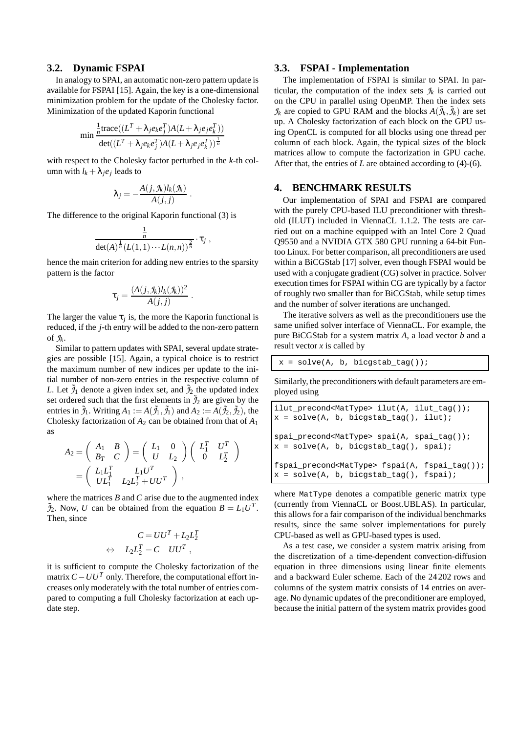### **3.2. Dynamic FSPAI**

In analogy to SPAI, an automatic non-zero pattern update is available for FSPAI [15]. Again, the key is a one-dimensional minimization problem for the update of the Cholesky factor. Minimization of the updated Kaporin functional

$$
\min \frac{\frac{1}{n} \text{trace}((L^T + \lambda_j e_k e_j^T) A (L + \lambda_j e_j e_k^T))}{\text{det}((L^T + \lambda_j e_k e_j^T) A (L + \lambda_j e_j e_k^T))^{\frac{1}{n}}}
$$

with respect to the Cholesky factor perturbed in the *k*-th column with  $l_k + \lambda_j e_j$  leads to

$$
\lambda_j = -\frac{A(j, \mathcal{I}_k)l_k(\mathcal{I}_k)}{A(j, j)}
$$

.

The difference to the original Kaporin functional (3) is

$$
\frac{\frac{1}{n}}{\det(A)^{\frac{1}{n}}(L(1,1)\cdots L(n,n))^{\frac{2}{n}}}\cdot\tau_j,
$$

hence the main criterion for adding new entries to the sparsity pattern is the factor

$$
\tau_j = \frac{(A(j, \mathcal{J}_k)l_k(\mathcal{J}_k))^2}{A(j,j)}.
$$

The larger the value  $\tau_j$  is, the more the Kaporin functional is reduced, if the *j*-th entry will be added to the non-zero pattern of  $\mathcal{I}_k$ .

Similar to pattern updates with SPAI, several update strategies are possible [15]. Again, a typical choice is to restrict the maximum number of new indices per update to the initial number of non-zero entries in the respective column of *L*. Let  $\tilde{J}_1$  denote a given index set, and  $\tilde{J}_2$  the updated index set ordered such that the first elements in  $\tilde{\mathcal{I}}_2$  are given by the entries in  $\tilde{J}_1$ . Writing  $A_1 := A(\tilde{J}_1, \tilde{J}_1)$  and  $A_2 := A(\tilde{J}_2, \tilde{J}_2)$ , the Cholesky factorization of  $A_2$  can be obtained from that of  $A_1$ as

$$
A_2 = \begin{pmatrix} A_1 & B \\ B_T & C \end{pmatrix} = \begin{pmatrix} L_1 & 0 \\ U & L_2 \end{pmatrix} \begin{pmatrix} L_1^T & U^T \\ 0 & L_2^T \end{pmatrix} = \begin{pmatrix} L_1 L_1^T & L_1 U^T \\ U L_1^T & L_2 L_2^T + U U^T \end{pmatrix} \,,
$$

where the matrices *B* and *C* arise due to the augmented index  $\widetilde{J}_2$ . Now, *U* can be obtained from the equation  $B = L_1 U^T$ . Then, since

$$
C = UUT + L2L2T
$$
  
\n
$$
\Leftrightarrow L2L2T = C - UUT,
$$

it is sufficient to compute the Cholesky factorization of the matrix  $C - U U^T$  only. Therefore, the computational effort increases only moderately with the total number of entries compared to computing a full Cholesky factorization at each update step.

### **3.3. FSPAI - Implementation**

The implementation of FSPAI is similar to SPAI. In particular, the computation of the index sets  $\mathcal{I}_k$  is carried out on the CPU in parallel using OpenMP. Then the index sets  $\mathcal{J}_k$  are copied to GPU RAM and the blocks  $A(\tilde{\mathcal{J}}_k, \tilde{\mathcal{J}}_k)$  are set up. A Cholesky factorization of each block on the GPU using OpenCL is computed for all blocks using one thread per column of each block. Again, the typical sizes of the block matrices allow to compute the factorization in GPU cache. After that, the entries of *L* are obtained according to (4)-(6).

### **4. BENCHMARK RESULTS**

Our implementation of SPAI and FSPAI are compared with the purely CPU-based ILU preconditioner with threshold (ILUT) included in ViennaCL 1.1.2. The tests are carried out on a machine equipped with an Intel Core 2 Quad Q9550 and a NVIDIA GTX 580 GPU running a 64-bit Funtoo Linux. For better comparison, all preconditioners are used within a BiCGStab [17] solver, even though FSPAI would be used with a conjugate gradient (CG) solver in practice. Solver execution times for FSPAI within CG are typically by a factor of roughly two smaller than for BiCGStab, while setup times and the number of solver iterations are unchanged.

The iterative solvers as well as the preconditioners use the same unified solver interface of ViennaCL. For example, the pure BiCGStab for a system matrix *A*, a load vector *b* and a result vector *x* is called by

$$
x = solve(A, b, bicgstab\_tag());
$$

Similarly, the preconditioners with default parameters are employed using

```
ilut precond<MatType> ilut(A, ilut tag());
x = solve(A, b, bicgstab\_tag(), ilut);spai_precond<MatType> spai(A, spai_tag());
x = solve(A, b, bicgstab\_tag(), spai);fspai_precond<MatType> fspai(A, fspai_tag());
x = solve(A, b, bicgstab_tag(), fspai);
```
where MatType denotes a compatible generic matrix type (currently from ViennaCL or Boost.UBLAS). In particular, this allows for a fair comparison of the individual benchmarks results, since the same solver implementations for purely CPU-based as well as GPU-based types is used.

As a test case, we consider a system matrix arising from the discretization of a time-dependent convection-diffusion equation in three dimensions using linear finite elements and a backward Euler scheme. Each of the 24202 rows and columns of the system matrix consists of 14 entries on average. No dynamic updates of the preconditioner are employed, because the initial pattern of the system matrix provides good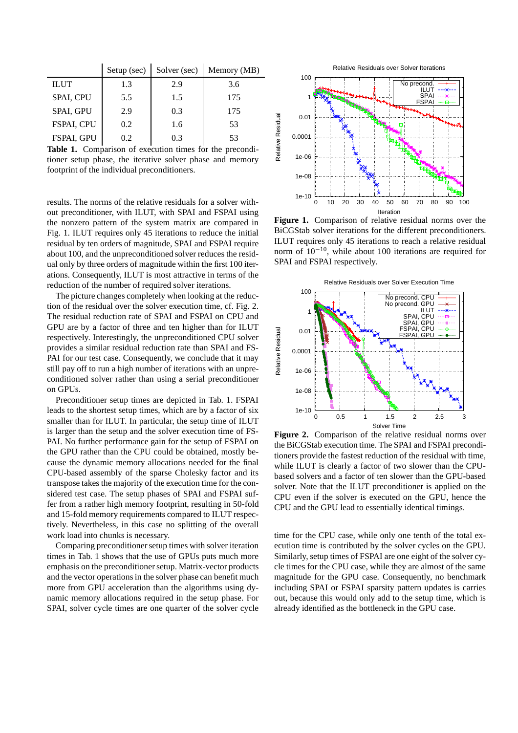|             | Setup $(\sec)$ | Solver (sec) | Memory (MB) |
|-------------|----------------|--------------|-------------|
| <b>ILUT</b> | 1.3            | 2.9          | 3.6         |
| SPAI, CPU   | 5.5            | 1.5          | 175         |
| SPAI, GPU   | 2.9            | 0.3          | 175         |
| FSPAI, CPU  | 0.2            | 1.6          | 53          |
| FSPAI, GPU  | 0.2            | 0 3          | 53          |

**Table 1.** Comparison of execution times for the preconditioner setup phase, the iterative solver phase and memory footprint of the individual preconditioners.

results. The norms of the relative residuals for a solver without preconditioner, with ILUT, with SPAI and FSPAI using the nonzero pattern of the system matrix are compared in Fig. 1. ILUT requires only 45 iterations to reduce the initial residual by ten orders of magnitude, SPAI and FSPAI require about 100, and the unpreconditioned solver reduces the residual only by three orders of magnitude within the first 100 iterations. Consequently, ILUT is most attractive in terms of the reduction of the number of required solver iterations.

The picture changes completely when looking at the reduction of the residual over the solver execution time, cf. Fig. 2. The residual reduction rate of SPAI and FSPAI on CPU and GPU are by a factor of three and ten higher than for ILUT respectively. Interestingly, the unpreconditioned CPU solver provides a similar residual reduction rate than SPAI and FS-PAI for our test case. Consequently, we conclude that it may still pay off to run a high number of iterations with an unpreconditioned solver rather than using a serial preconditioner on GPUs.

Preconditioner setup times are depicted in Tab. 1. FSPAI leads to the shortest setup times, which are by a factor of six smaller than for ILUT. In particular, the setup time of ILUT is larger than the setup and the solver execution time of FS-PAI. No further performance gain for the setup of FSPAI on the GPU rather than the CPU could be obtained, mostly because the dynamic memory allocations needed for the final CPU-based assembly of the sparse Cholesky factor and its transpose takes the majority of the execution time for the considered test case. The setup phases of SPAI and FSPAI suffer from a rather high memory footprint, resulting in 50-fold and 15-fold memory requirements compared to ILUT respectively. Nevertheless, in this case no splitting of the overall work load into chunks is necessary.

Comparing preconditioner setup times with solver iteration times in Tab. 1 shows that the use of GPUs puts much more emphasis on the preconditioner setup. Matrix-vector products and the vector operations in the solver phase can benefit much more from GPU acceleration than the algorithms using dynamic memory allocations required in the setup phase. For SPAI, solver cycle times are one quarter of the solver cycle



**Figure 1.** Comparison of relative residual norms over the BiCGStab solver iterations for the different preconditioners. ILUT requires only 45 iterations to reach a relative residual norm of 10−10, while about 100 iterations are required for SPAI and FSPAI respectively.



**Figure 2.** Comparison of the relative residual norms over the BiCGStab execution time. The SPAI and FSPAI preconditioners provide the fastest reduction of the residual with time, while ILUT is clearly a factor of two slower than the CPUbased solvers and a factor of ten slower than the GPU-based solver. Note that the ILUT preconditioner is applied on the CPU even if the solver is executed on the GPU, hence the CPU and the GPU lead to essentially identical timings.

time for the CPU case, while only one tenth of the total execution time is contributed by the solver cycles on the GPU. Similarly, setup times of FSPAI are one eight of the solver cycle times for the CPU case, while they are almost of the same magnitude for the GPU case. Consequently, no benchmark including SPAI or FSPAI sparsity pattern updates is carries out, because this would only add to the setup time, which is already identified as the bottleneck in the GPU case.